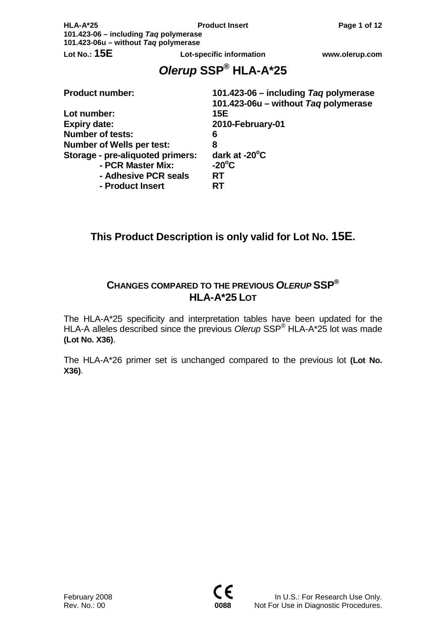# *Olerup* **SSP® HLA-A\*25**

| <b>Product number:</b>           | 101.423-06 – including Tag polymerase<br>101.423-06u - without Tag polymerase |
|----------------------------------|-------------------------------------------------------------------------------|
| Lot number:                      | 15E                                                                           |
| <b>Expiry date:</b>              | 2010-February-01                                                              |
| <b>Number of tests:</b>          | 6                                                                             |
| <b>Number of Wells per test:</b> | 8                                                                             |
| Storage - pre-aliquoted primers: | dark at -20 $\mathrm{^{\circ}C}$                                              |
| - PCR Master Mix:                | $-20^{\circ}$ C                                                               |
| - Adhesive PCR seals             | <b>RT</b>                                                                     |
| - Product Insert                 | RT                                                                            |

# **This Product Description is only valid for Lot No. 15E.**

## **CHANGES COMPARED TO THE PREVIOUS** *OLERUP* **SSP® HLA-A\*25 LOT**

The HLA-A\*25 specificity and interpretation tables have been updated for the HLA-A alleles described since the previous *Olerup* SSP® HLA-A\*25 lot was made **(Lot No. X36)**.

The HLA-A\*26 primer set is unchanged compared to the previous lot **(Lot No. X36)**.

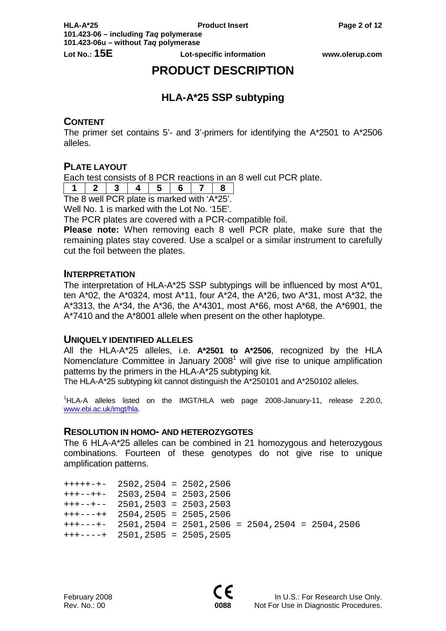# **PRODUCT DESCRIPTION**

# **HLA-A\*25 SSP subtyping**

#### **CONTENT**

The primer set contains 5'- and 3'-primers for identifying the A\*2501 to A\*2506 alleles.

### **PLATE LAYOUT**

Each test consists of 8 PCR reactions in an 8 well cut PCR plate.

|--|

The 8 well PCR plate is marked with 'A\*25'.

Well No. 1 is marked with the Lot No. '15E'.

The PCR plates are covered with a PCR-compatible foil.

**Please note:** When removing each 8 well PCR plate, make sure that the remaining plates stay covered. Use a scalpel or a similar instrument to carefully cut the foil between the plates.

#### **INTERPRETATION**

The interpretation of HLA-A\*25 SSP subtypings will be influenced by most A\*01, ten A\*02, the A\*0324, most A\*11, four A\*24, the A\*26, two A\*31, most A\*32, the A\*3313, the A\*34, the A\*36, the A\*4301, most A\*66, most A\*68, the A\*6901, the A\*7410 and the A\*8001 allele when present on the other haplotype.

### **UNIQUELY IDENTIFIED ALLELES**

All the HLA-A\*25 alleles, i.e. **A\*2501 to A\*2506**, recognized by the HLA Nomenclature Committee in January  $2008<sup>1</sup>$  will give rise to unique amplification patterns by the primers in the HLA-A\*25 subtyping kit.

The HLA-A\*25 subtyping kit cannot distinguish the A\*250101 and A\*250102 alleles.

<sup>1</sup>HLA-A alleles listed on the IMGT/HLA web page 2008-January-11, release 2.20.0, [www.ebi.ac.uk/imgt/hla.](http://www.ebi.ac.uk/imgt/hla)

#### **RESOLUTION IN HOMO- AND HETEROZYGOTES**

The 6 HLA-A\*25 alleles can be combined in 21 homozygous and heterozygous combinations. Fourteen of these genotypes do not give rise to unique amplification patterns.

| +++++-+- 2502,2504 = 2502,2506                         |  |  |  |
|--------------------------------------------------------|--|--|--|
| $+++--++-2503,2504 = 2503,2506$                        |  |  |  |
| +++--+-- 2501,2503 = 2503,2503                         |  |  |  |
| $+++---++$ 2504,2505 = 2505,2506                       |  |  |  |
| +++---+- 2501,2504 = 2501,2506 = 2504,2504 = 2504,2506 |  |  |  |
| +++----+ 2501,2505 = 2505,2505                         |  |  |  |
|                                                        |  |  |  |

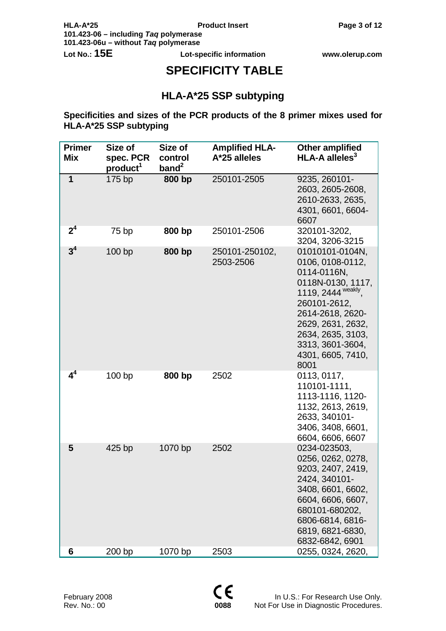# **SPECIFICITY TABLE**

# **HLA-A\*25 SSP subtyping**

**Specificities and sizes of the PCR products of the 8 primer mixes used for HLA-A\*25 SSP subtyping**

| $\mathbf 1$<br>175 <sub>bp</sub><br>250101-2505<br>800 bp<br>9235, 260101-<br>6607<br>2 <sup>4</sup><br>800 bp<br>75 bp<br>250101-2506<br>320101-3202,<br>3204, 3206-3215<br>3 <sup>4</sup><br>800 bp<br>100 bp<br>250101-250102,<br>2503-2506<br>0114-0116N,<br>1119, 2444 weakly,<br>260101-2612,<br>8001<br>4 <sup>4</sup><br>100 bp<br>800 bp<br>2502<br>0113, 0117,<br>110101-1111,<br>2633, 340101-<br>5<br>425 bp<br>1070 bp<br>2502<br>0234-023503,<br>2424, 340101-<br>680101-680202, | <b>Primer</b><br>Mix | Size of<br>spec. PCR<br>product <sup>1</sup> | Size of<br>control<br>band <sup>2</sup> | <b>Amplified HLA-</b><br>A*25 alleles | <b>Other amplified</b><br>HLA-A alleles <sup>3</sup>                                                                                                            |
|------------------------------------------------------------------------------------------------------------------------------------------------------------------------------------------------------------------------------------------------------------------------------------------------------------------------------------------------------------------------------------------------------------------------------------------------------------------------------------------------|----------------------|----------------------------------------------|-----------------------------------------|---------------------------------------|-----------------------------------------------------------------------------------------------------------------------------------------------------------------|
|                                                                                                                                                                                                                                                                                                                                                                                                                                                                                                |                      |                                              |                                         |                                       | 2603, 2605-2608,<br>2610-2633, 2635,<br>4301, 6601, 6604-                                                                                                       |
|                                                                                                                                                                                                                                                                                                                                                                                                                                                                                                |                      |                                              |                                         |                                       |                                                                                                                                                                 |
|                                                                                                                                                                                                                                                                                                                                                                                                                                                                                                |                      |                                              |                                         |                                       | 01010101-0104N,<br>0106, 0108-0112,<br>0118N-0130, 1117,<br>2614-2618, 2620-<br>2629, 2631, 2632,<br>2634, 2635, 3103,<br>3313, 3601-3604,<br>4301, 6605, 7410, |
|                                                                                                                                                                                                                                                                                                                                                                                                                                                                                                |                      |                                              |                                         |                                       | 1113-1116, 1120-<br>1132, 2613, 2619,<br>3406, 3408, 6601,<br>6604, 6606, 6607                                                                                  |
| 6832-6842, 6901<br>200 bp<br>1070 bp<br>2503<br>6                                                                                                                                                                                                                                                                                                                                                                                                                                              |                      |                                              |                                         |                                       | 0256, 0262, 0278,<br>9203, 2407, 2419,<br>3408, 6601, 6602,<br>6604, 6606, 6607,<br>6806-6814, 6816-<br>6819, 6821-6830,<br>0255, 0324, 2620,                   |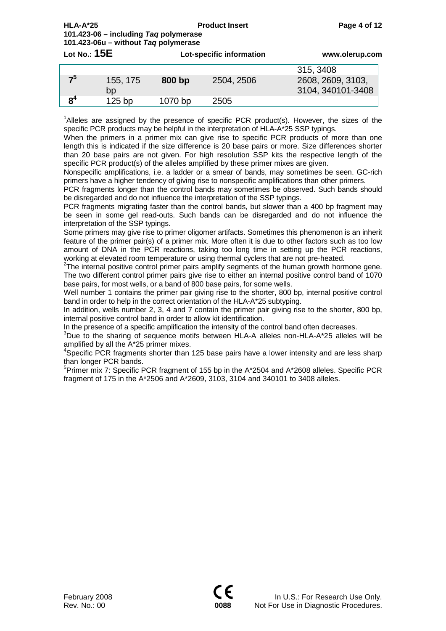| LOI NO.: IJE   |                |         | Lot-specific information | www.olerup.com                         |
|----------------|----------------|---------|--------------------------|----------------------------------------|
|                |                |         |                          | 315, 3408                              |
| 7 <sup>5</sup> | 155, 175<br>bp | 800 bp  | 2504, 2506               | 2608, 2609, 3103,<br>3104, 340101-3408 |
| $8^4$          | $125$ bp       | 1070 bp | 2505                     |                                        |

<sup>1</sup>Alleles are assigned by the presence of specific PCR product(s). However, the sizes of the specific PCR products may be helpful in the interpretation of HLA-A\*25 SSP typings.

When the primers in a primer mix can give rise to specific PCR products of more than one length this is indicated if the size difference is 20 base pairs or more. Size differences shorter than 20 base pairs are not given. For high resolution SSP kits the respective length of the specific PCR product(s) of the alleles amplified by these primer mixes are given.

Nonspecific amplifications, i.e. a ladder or a smear of bands, may sometimes be seen. GC-rich primers have a higher tendency of giving rise to nonspecific amplifications than other primers.

PCR fragments longer than the control bands may sometimes be observed. Such bands should be disregarded and do not influence the interpretation of the SSP typings.

PCR fragments migrating faster than the control bands, but slower than a 400 bp fragment may be seen in some gel read-outs. Such bands can be disregarded and do not influence the interpretation of the SSP typings.

Some primers may give rise to primer oligomer artifacts. Sometimes this phenomenon is an inherit feature of the primer pair(s) of a primer mix. More often it is due to other factors such as too low amount of DNA in the PCR reactions, taking too long time in setting up the PCR reactions, working at elevated room temperature or using thermal cyclers that are not pre-heated.

 $2$ The internal positive control primer pairs amplify segments of the human growth hormone gene. The two different control primer pairs give rise to either an internal positive control band of 1070 base pairs, for most wells, or a band of 800 base pairs, for some wells.

Well number 1 contains the primer pair giving rise to the shorter, 800 bp, internal positive control band in order to help in the correct orientation of the HLA-A\*25 subtyping.

In addition, wells number 2, 3, 4 and 7 contain the primer pair giving rise to the shorter, 800 bp, internal positive control band in order to allow kit identification.

In the presence of a specific amplification the intensity of the control band often decreases.

<sup>3</sup>Due to the sharing of sequence motifs between HLA-A alleles non-HLA-A\*25 alleles will be amplified by all the A\*25 primer mixes.

<sup>4</sup>Specific PCR fragments shorter than 125 base pairs have a lower intensity and are less sharp than longer PCR bands.

5 Primer mix 7: Specific PCR fragment of 155 bp in the A\*2504 and A\*2608 alleles. Specific PCR fragment of 175 in the A\*2506 and A\*2609, 3103, 3104 and 340101 to 3408 alleles.

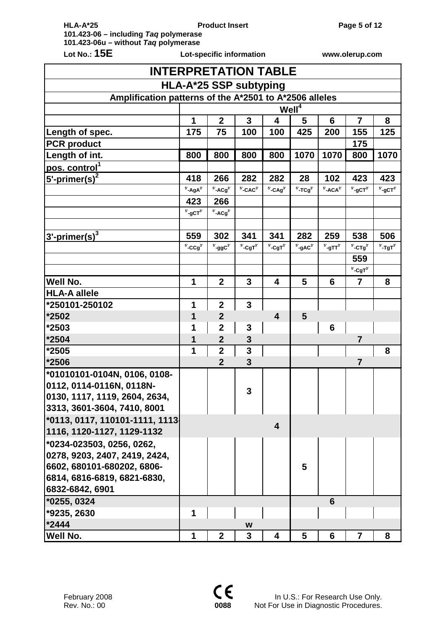| <b>INTERPRETATION TABLE</b>                            |                        |                        |                          |                         |                         |                 |                |                              |
|--------------------------------------------------------|------------------------|------------------------|--------------------------|-------------------------|-------------------------|-----------------|----------------|------------------------------|
|                                                        |                        | HLA-A*25 SSP subtyping |                          |                         |                         |                 |                |                              |
| Amplification patterns of the A*2501 to A*2506 alleles |                        |                        |                          |                         |                         |                 |                |                              |
|                                                        |                        |                        |                          |                         | Well <sup>4</sup>       |                 |                |                              |
|                                                        | 1                      | $\mathbf{2}$           | 3                        | 4                       | 5                       | 6               | $\overline{7}$ | 8                            |
| Length of spec.                                        | 175                    | 75                     | 100                      | 100                     | 425                     | 200             | 155            | 125                          |
| <b>PCR</b> product                                     |                        |                        |                          |                         |                         |                 | 175            |                              |
| Length of int.                                         | 800                    | 800                    | 800                      | 800                     | 1070                    | 1070            | 800            | 1070                         |
| pos. control <sup>1</sup>                              |                        |                        |                          |                         |                         |                 |                |                              |
| $5$ -primer(s) <sup>2</sup>                            | 418                    | 266                    | 282                      | 282                     | 28                      | 102             | 423            | 423                          |
|                                                        | $5 - AgA3$             | $5$ -ACg $3$           | $5^\circ$ -CAC $3^\circ$ | $5$ -CAg <sup>3'</sup>  | $5$ '-TCg <sup>3'</sup> | $5'$ -ACA $3'$  | $5'$ -gCT $3'$ | $5^{\circ}$ -gCT $3^{\circ}$ |
|                                                        | 423                    | 266                    |                          |                         |                         |                 |                |                              |
|                                                        | $5 - gCT3$             | $5 - ACg3$             |                          |                         |                         |                 |                |                              |
|                                                        |                        |                        |                          |                         |                         |                 |                |                              |
| $3'$ -primer(s) <sup>3</sup>                           | 559                    | 302                    | 341                      | 341                     | 282                     | 259             | 538            | 506                          |
|                                                        | $5$ -CCg <sup>3'</sup> | $5 -$ ggC $3$          | $5$ -CgT $3$             | $5$ '-CgT <sup>3'</sup> | $5 - qAC3$              | $5'$ -gTT $3'$  | $5$ -CTg $3$   | $5$ -TgT $3$                 |
|                                                        |                        |                        |                          |                         |                         |                 | 559            |                              |
|                                                        |                        |                        |                          |                         |                         |                 | $5$ -CgT $3$   |                              |
| Well No.                                               | $\mathbf 1$            | $\mathbf{2}$           | 3                        | 4                       | $5\phantom{.0}$         | 6               | $\overline{7}$ | 8                            |
| <b>HLA-A allele</b>                                    |                        |                        |                          |                         |                         |                 |                |                              |
| *250101-250102                                         | 1                      | $\boldsymbol{2}$       | 3                        |                         |                         |                 |                |                              |
| *2502                                                  | 1                      | $\overline{2}$         |                          | $\overline{\mathbf{4}}$ | 5                       |                 |                |                              |
| *2503                                                  | 1                      | $\mathbf{2}$           | 3                        |                         |                         | $6\phantom{1}6$ |                |                              |
| *2504                                                  | 1                      | $\mathbf{2}$           | $\mathbf{3}$             |                         |                         |                 | $\overline{7}$ |                              |
| *2505                                                  | 1                      | $\overline{2}$         | $\mathbf{3}$             |                         |                         |                 |                | 8                            |
| *2506                                                  |                        | $\overline{2}$         | 3                        |                         |                         |                 | $\overline{7}$ |                              |
| *01010101-0104N, 0106, 0108-                           |                        |                        |                          |                         |                         |                 |                |                              |
| 0112, 0114-0116N, 0118N-                               |                        |                        | 3                        |                         |                         |                 |                |                              |
| 0130, 1117, 1119, 2604, 2634,                          |                        |                        |                          |                         |                         |                 |                |                              |
| 3313, 3601-3604, 7410, 8001                            |                        |                        |                          |                         |                         |                 |                |                              |
| *0113, 0117, 110101-1111, 1113                         |                        |                        |                          | 4                       |                         |                 |                |                              |
| 1116, 1120-1127, 1129-1132                             |                        |                        |                          |                         |                         |                 |                |                              |
| *0234-023503, 0256, 0262,                              |                        |                        |                          |                         |                         |                 |                |                              |
| 0278, 9203, 2407, 2419, 2424,                          |                        |                        |                          |                         |                         |                 |                |                              |
| 6602, 680101-680202, 6806-                             |                        |                        |                          |                         | 5                       |                 |                |                              |
| 6814, 6816-6819, 6821-6830,                            |                        |                        |                          |                         |                         |                 |                |                              |
| 6832-6842, 6901                                        |                        |                        |                          |                         |                         |                 |                |                              |
| *0255, 0324                                            |                        |                        |                          |                         |                         | $6\phantom{1}6$ |                |                              |
| *9235, 2630                                            | 1                      |                        |                          |                         |                         |                 |                |                              |
| $*2444$                                                |                        |                        | W                        |                         |                         |                 |                |                              |
| <b>Well No.</b>                                        | 1                      | $\boldsymbol{2}$       | 3                        | 4                       | 5                       | 6               | $\overline{7}$ | 8                            |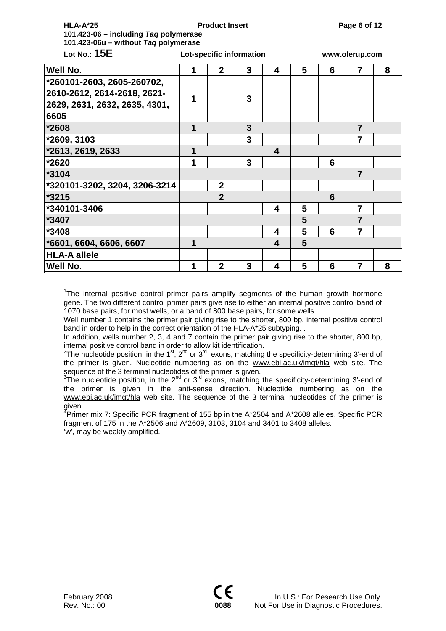| $HLA-A*25$                                                                                         |   | <b>Product Insert</b>    |   |                  |   | Page 6 of 12 |                |   |  |
|----------------------------------------------------------------------------------------------------|---|--------------------------|---|------------------|---|--------------|----------------|---|--|
| 101.423-06 - including Taq polymerase<br>101.423-06u - without Tag polymerase                      |   |                          |   |                  |   |              |                |   |  |
| Lot No.: 15E                                                                                       |   | Lot-specific information |   |                  |   |              | www.olerup.com |   |  |
| Well No.                                                                                           | 1 | $\overline{2}$           | 3 | 4                | 5 | 6            | $\overline{7}$ | 8 |  |
| *260101-2603, 2605-260702,<br>2610-2612, 2614-2618, 2621-<br>2629, 2631, 2632, 2635, 4301,<br>6605 | 1 |                          | 3 |                  |   |              |                |   |  |
| *2608                                                                                              | 1 |                          | 3 |                  |   |              | $\overline{7}$ |   |  |
| *2609, 3103                                                                                        |   |                          | 3 |                  |   |              | $\overline{7}$ |   |  |
| *2613, 2619, 2633                                                                                  | 1 |                          |   | $\boldsymbol{4}$ |   |              |                |   |  |
| *2620                                                                                              | 1 |                          | 3 |                  |   | 6            |                |   |  |
| $*3104$                                                                                            |   |                          |   |                  |   |              | 7              |   |  |
| *320101-3202, 3204, 3206-3214                                                                      |   | $\overline{2}$           |   |                  |   |              |                |   |  |
| $*3215$                                                                                            |   | $\overline{2}$           |   |                  |   | 6            |                |   |  |
| *340101-3406                                                                                       |   |                          |   | 4                | 5 |              | $\overline{7}$ |   |  |
| $*3407$                                                                                            |   |                          |   |                  | 5 |              | 7              |   |  |
| *3408                                                                                              |   |                          |   | 4                | 5 | 6            | 7              |   |  |
| *6601, 6604, 6606, 6607                                                                            | 1 |                          |   | 4                | 5 |              |                |   |  |
| <b>HLA-A allele</b>                                                                                |   |                          |   |                  |   |              |                |   |  |
| Well No.                                                                                           | 1 | $\overline{2}$           | 3 | 4                | 5 | 6            | $\overline{7}$ | 8 |  |

<sup>1</sup>The internal positive control primer pairs amplify segments of the human growth hormone gene. The two different control primer pairs give rise to either an internal positive control band of 1070 base pairs, for most wells, or a band of 800 base pairs, for some wells.

Well number 1 contains the primer pair giving rise to the shorter, 800 bp, internal positive control band in order to help in the correct orientation of the HLA-A\*25 subtyping. .

In addition, wells number 2, 3, 4 and 7 contain the primer pair giving rise to the shorter, 800 bp,

internal positive control band in order to allow kit identification.<br><sup>2</sup>The nucleotide position, in the 1<sup>st</sup>, 2<sup>nd</sup> or 3<sup>rd</sup> exons, matching the specificity-determining 3'-end of the primer is given. Nucleotide numbering as on the [www.ebi.ac.uk/imgt/hla](http://www.ebi.ac.uk/imgt/hla) web site. The

sequence of the 3 terminal nucleotides of the primer is given.<br><sup>3</sup>The nucleotide position, in the 2<sup>nd</sup> or 3<sup>rd</sup> exons, matching the specificity-determining 3'-end of the primer is given in the anti-sense direction. Nucleotide numbering as on the [www.ebi.ac.uk/imgt/hla](http://www.ebi.ac.uk/imgt/hla) web site. The sequence of the 3 terminal nucleotides of the primer is

given.<br><sup>4</sup>Primer mix 7: Specific PCR fragment of 155 bp in the A\*2504 and A\*2608 alleles. Specific PCR 'w', may be weakly amplified. fragment of 175 in the A\*2506 and A\*2609, 3103, 3104 and 3401 to 3408 alleles.

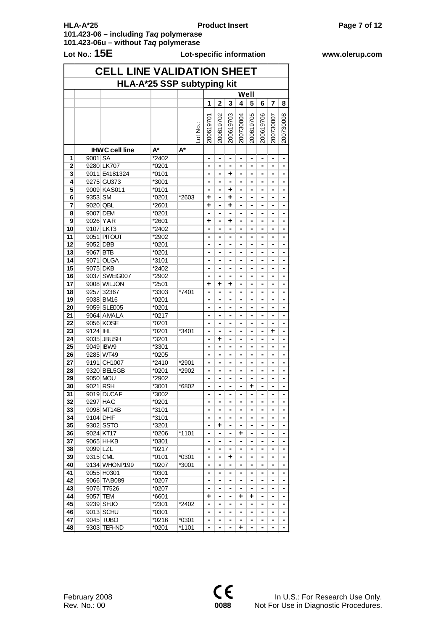$\mathsf{r}$ 

|                | <b>CELL LINE VALIDATION SHEET</b> |                       |                            |          |           |           |           |           |           |           |           |           |
|----------------|-----------------------------------|-----------------------|----------------------------|----------|-----------|-----------|-----------|-----------|-----------|-----------|-----------|-----------|
|                |                                   |                       | HLA-A*25 SSP subtyping kit |          |           |           |           |           |           |           |           |           |
|                |                                   |                       |                            |          |           |           |           | Well      |           |           |           |           |
|                |                                   |                       |                            |          | 1         | 2         | 3         | 4         | 5         | 6         | 7         | 8         |
|                |                                   |                       |                            | Lot No.: | 200619701 | 200619702 | 200619703 | 200730004 | 200619705 | 200619706 | 200730007 | 200730008 |
|                |                                   | <b>IHWC cell line</b> | A*                         | $A^*$    |           |           |           |           |           |           |           |           |
| 1              | 9001 SA                           |                       | *2402                      |          |           |           |           |           |           |           |           |           |
| $\overline{c}$ |                                   | 9280 LK707            | *0201                      |          |           |           |           |           |           |           |           |           |
| 3              |                                   | 9011 E4181324         | $*0101$                    |          |           |           | ٠         |           |           |           |           |           |
| 4              |                                   | 9275 GU373            | *3001                      |          |           |           |           |           |           |           |           |           |
| 5              |                                   | 9009 KAS011           | $*0101$                    |          |           |           | ٠         |           |           |           |           |           |
| 6              | 9353 SM                           |                       | *0201                      | *2603    | ٠         |           | ٠         |           |           |           |           |           |
| 7              | 9020 QBL                          |                       | *2601                      |          | ÷         |           | ٠         |           | -         |           |           |           |
| 8              | 9007 DEM                          |                       | *0201                      |          |           |           |           |           |           |           |           |           |
| 9              | 9026 YAR                          |                       | *2601                      |          | ٠         |           | ٠         |           |           |           |           |           |
| 10             |                                   | 9107 LKT3             | *2402                      |          |           |           |           |           |           |           |           |           |
| 11             |                                   | 9051 PITOUT           | *2902                      |          | ۰         |           | -         |           |           | ۰         | -         | ۰         |
| 12             | 9052 DBB                          |                       | *0201                      |          |           |           |           |           |           |           |           |           |
| 13             | 9067 BTB                          |                       | *0201                      |          |           |           |           |           |           |           |           |           |
| 14             |                                   | 9071 OLGA             | *3101                      |          |           |           |           |           |           |           |           |           |
| 15             | 9075 DKB                          |                       | *2402                      |          |           |           |           |           | -         |           |           |           |
| 16             | 9037                              | SWEIG007              | *2902                      |          |           |           |           |           |           |           |           |           |
| 17             |                                   | 9008 WILJON           | *2501                      |          | ٠         | ٠         | ٠         |           |           |           |           |           |
| 18             | 9257                              | 32367                 | $*3303$                    | *7401    |           |           |           |           |           |           |           |           |
| 19             |                                   | 9038 BM16             | *0201                      |          |           |           |           |           | -         |           |           |           |
| 20             |                                   | 9059 SLE005           | *0201                      |          |           |           |           |           |           |           |           |           |
| 21             |                                   | 9064 AMALA            | *0217                      |          |           |           |           |           |           |           |           |           |
| 22             |                                   | 9056 KOSE             | *0201                      |          |           |           |           |           |           |           |           |           |
| 23             | 9124 IHL                          |                       | *0201                      | $*3401$  | ۰         |           |           |           | -         |           | ٠         |           |
| 24             |                                   | 9035 JBUSH            | *3201                      |          |           | ٠         |           |           |           |           |           |           |
| 25             |                                   | 9049 IBW9             | *3301                      |          |           |           |           |           |           |           |           |           |
| 26             |                                   | 9285 WT49             | *0205                      |          |           |           |           |           |           |           |           |           |
| 27             |                                   | 9191 CH1007           | $*2410$                    | *2901    | ۰         |           |           |           | -         |           |           |           |
| 28             |                                   | 9320 BEL5GB           | *0201                      | *2902    |           |           |           |           |           |           |           |           |
| 29             | 9050 MOU                          |                       | *2902                      |          |           |           |           |           |           |           |           |           |
| 30             | 9021 RSH                          |                       | *3001                      | *6802    |           |           |           |           | ٠         |           |           |           |
| 31             |                                   | 9019 DUCAF            | *3002                      |          | -         |           |           | ٠         | -         | -         | -         | ۰         |
| 32             |                                   | 9297 HAG              | $*0201$                    |          |           |           |           |           |           |           |           |           |
| 33             |                                   | 9098 MT14B            | *3101                      |          |           |           |           |           |           |           |           |           |
| 34             | 9104 DHIF                         |                       | $*3101$                    |          |           |           |           |           |           |           |           |           |
| 35             |                                   | 9302 SSTO             | *3201                      |          | -         | ٠         | -         |           |           |           |           |           |
| 36             |                                   | 9024 KT17             | *0206                      | *1101    | -         |           |           | ٠         | -         |           |           |           |
| 37             |                                   | 9065 HHKB             | $*0301$                    |          |           |           |           |           |           |           |           |           |
| 38             | 9099 LZL                          |                       | $*0217$                    |          |           |           |           |           |           |           |           |           |
| 39             | 9315 CML                          |                       | *0101                      | *0301    | -         | ۰         | ٠         |           | -         |           |           |           |
| 40             |                                   | 9134 WHONP199         | *0207                      | $*3001$  | -         |           |           |           |           |           |           |           |
| 41             |                                   | 9055 H0301            | *0301                      |          |           |           |           |           |           |           |           |           |
| 42             |                                   | 9066 TAB089           | $*0207$                    |          |           |           |           |           |           |           |           |           |
| 43             |                                   | 9076 T7526            | *0207                      |          | -         | -         | ٠         | ٠         | -         | -         |           | ٠         |
| 44             | 9057 TEM                          |                       | *6601                      |          | ٠         |           |           | ٠         | ۰         |           |           |           |
| 45             |                                   | 9239 SHJO             | *2301                      | *2402    |           |           |           |           |           |           |           |           |
| 46             |                                   | 9013 SCHU             | *0301                      |          | ۰         |           |           | ٠         | ٠         |           |           | -         |
| 47             |                                   | 9045 TUBO             | *0216                      | *0301    |           | ۰         | ٠         | ٠         | ٠         | ٠         | ٠         | ۰         |
| 48             |                                   | 9303 TER-ND           | *0201                      | *1101    |           |           |           | ٠         | ٠         |           |           | ٠         |

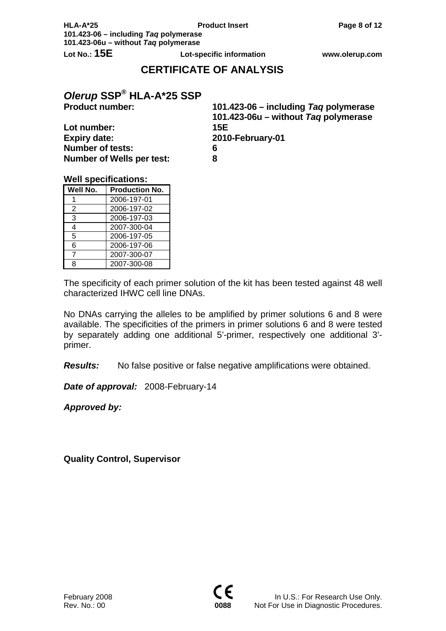| <b>HLA-A*25</b>                       | <b>Product Insert</b>   |
|---------------------------------------|-------------------------|
| 101.423-06 – including Tag polymerase |                         |
| 101.423-06u – without Tag polymerase  |                         |
| Lot No.: $15E$                        | Lot-specific informatio |

**Lot No.: 15E Lot-specific information www.olerup.com**

## **CERTIFICATE OF ANALYSIS**

# *Olerup* **SSP® HLA-A\*25 SSP**

| 101.423-06 – including Tag polymerase |
|---------------------------------------|
| 101.423-06u – without Tag polymerase  |
| 15E.                                  |
| 2010-February-01                      |
| 6                                     |
| 8                                     |
|                                       |

#### **Well specifications:**

| Well No. | <b>Production No.</b> |
|----------|-----------------------|
|          | 2006-197-01           |
| 2        | 2006-197-02           |
| 3        | 2006-197-03           |
|          | 2007-300-04           |
| 5        | 2006-197-05           |
| 6        | 2006-197-06           |
|          | 2007-300-07           |
|          | 2007-300-08           |

The specificity of each primer solution of the kit has been tested against 48 well characterized IHWC cell line DNAs.

No DNAs carrying the alleles to be amplified by primer solutions 6 and 8 were available. The specificities of the primers in primer solutions 6 and 8 were tested by separately adding one additional 5'-primer, respectively one additional 3' primer.

**Results:** No false positive or false negative amplifications were obtained.

*Date of approval:* 2008-February-14

*Approved by:*

**Quality Control, Supervisor**

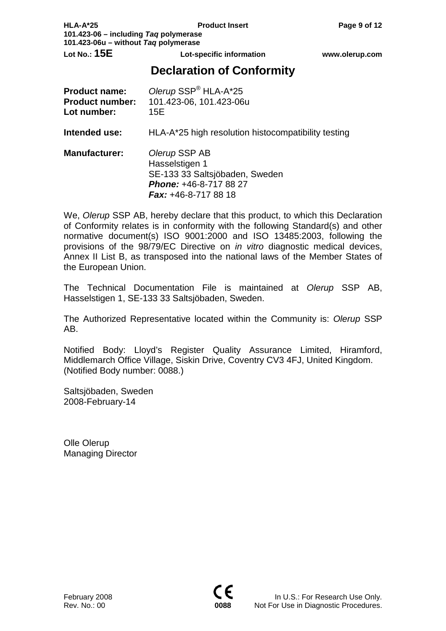## **Declaration of Conformity**

| <b>Product name:</b><br><b>Product number:</b><br>Lot number: | Olerup SSP <sup>®</sup> HLA-A*25<br>101.423-06, 101.423-06u<br>15E                                                                |
|---------------------------------------------------------------|-----------------------------------------------------------------------------------------------------------------------------------|
| Intended use:                                                 | HLA-A*25 high resolution histocompatibility testing                                                                               |
| <b>Manufacturer:</b>                                          | Olerup SSP AB<br>Hasselstigen 1<br>SE-133 33 Saltsjöbaden, Sweden<br><b>Phone: +46-8-717 88 27</b><br><b>Fax: +46-8-717 88 18</b> |

We, *Olerup* SSP AB, hereby declare that this product, to which this Declaration of Conformity relates is in conformity with the following Standard(s) and other normative document(s) ISO 9001:2000 and ISO 13485:2003, following the provisions of the 98/79/EC Directive on *in vitro* diagnostic medical devices, Annex II List B, as transposed into the national laws of the Member States of the European Union.

The Technical Documentation File is maintained at *Olerup* SSP AB, Hasselstigen 1, SE-133 33 Saltsjöbaden, Sweden.

The Authorized Representative located within the Community is: *Olerup* SSP AB.

Notified Body: Lloyd's Register Quality Assurance Limited, Hiramford, Middlemarch Office Village, Siskin Drive, Coventry CV3 4FJ, United Kingdom. (Notified Body number: 0088.)

Saltsjöbaden, Sweden 2008-February-14

Olle Olerup Managing Director

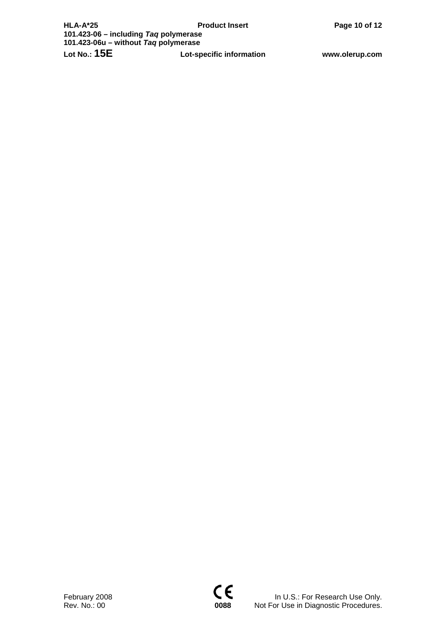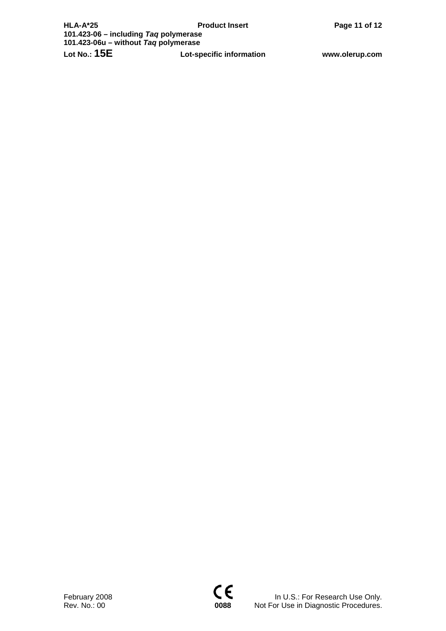